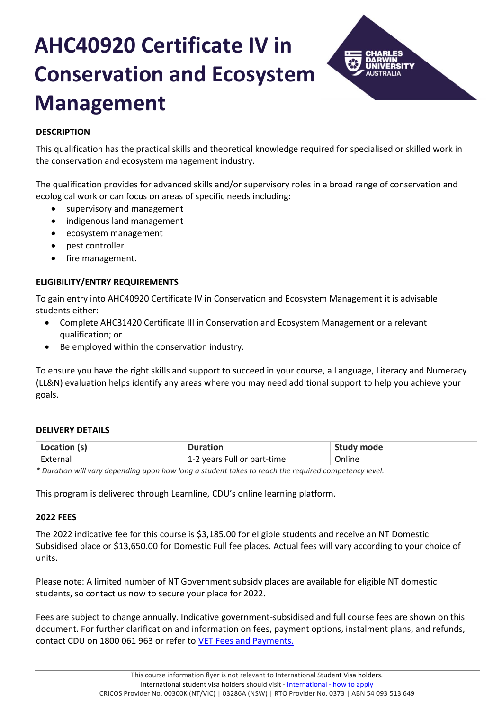# **AHC40920 Certificate IV in Conservation and Ecosystem Management**



# **DESCRIPTION**

This qualification has the practical skills and theoretical knowledge required for specialised or skilled work in the conservation and ecosystem management industry.

The qualification provides for advanced skills and/or supervisory roles in a broad range of conservation and ecological work or can focus on areas of specific needs including:

- supervisory and management
- indigenous land management
- ecosystem management
- pest controller
- fire management.

# **ELIGIBILITY/ENTRY REQUIREMENTS**

To gain entry into AHC40920 Certificate IV in Conservation and Ecosystem Management it is advisable students either:

- Complete AHC31420 Certificate III in Conservation and Ecosystem Management or a relevant qualification; or
- Be employed within the conservation industry.

To ensure you have the right skills and support to succeed in your course, a Language, Literacy and Numeracy (LL&N) evaluation helps identify any areas where you may need additional support to help you achieve your goals.

# **DELIVERY DETAILS**

| Location (s) | <b>Duration</b>             | <b>Study mode</b> |
|--------------|-----------------------------|-------------------|
| External     | 1-2 years Full or part-time | Online            |

*\* Duration will vary depending upon how long a student takes to reach the required competency level.*

This program is delivered through Learnline, CDU's online learning platform.

# **2022 FEES**

The 2022 indicative fee for this course is \$3,185.00 for eligible students and receive an NT Domestic Subsidised place or \$13,650.00 for Domestic Full fee places. Actual fees will vary according to your choice of units.

Please note: A limited number of NT Government subsidy places are available for eligible NT domestic students, so contact us now to secure your place for 2022.

Fees are subject to change annually. Indicative government-subsidised and full course fees are shown on this document. For further clarification and information on fees, payment options, instalment plans, and refunds, contact CDU on 1800 061 963 or refer to [VET Fees and Payments.](https://www.cdu.edu.au/current-students/student-admin/fees-payments)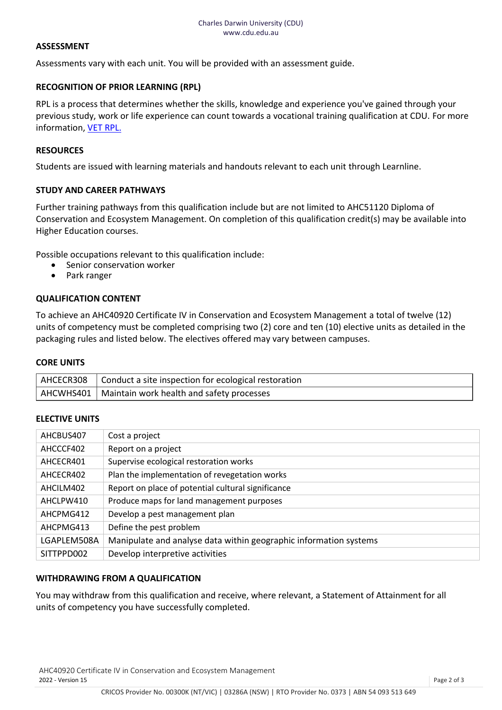### **ASSESSMENT**

Assessments vary with each unit. You will be provided with an assessment guide.

# **RECOGNITION OF PRIOR LEARNING (RPL)**

RPL is a process that determines whether the skills, knowledge and experience you've gained through your previous study, work or life experience can count towards a vocational training qualification at CDU. For more information[, VET RPL.](https://www.cdu.edu.au/study/vocational-education-training/rpl)

## **RESOURCES**

Students are issued with learning materials and handouts relevant to each unit through Learnline.

## **STUDY AND CAREER PATHWAYS**

Further training pathways from this qualification include but are not limited to AHC51120 Diploma of Conservation and Ecosystem Management. On completion of this qualification credit(s) may be available into Higher Education courses.

Possible occupations relevant to this qualification include:

- Senior conservation worker
- Park ranger

## **QUALIFICATION CONTENT**

To achieve an AHC40920 Certificate IV in Conservation and Ecosystem Management a total of twelve (12) units of competency must be completed comprising two (2) core and ten (10) elective units as detailed in the packaging rules and listed below. The electives offered may vary between campuses.

#### **CORE UNITS**

| AHCECR308   Conduct a site inspection for ecological restoration |
|------------------------------------------------------------------|
| AHCWHS401   Maintain work health and safety processes            |

#### **ELECTIVE UNITS**

| AHCBUS407   | Cost a project                                                    |
|-------------|-------------------------------------------------------------------|
| AHCCCF402   | Report on a project                                               |
| AHCECR401   | Supervise ecological restoration works                            |
| AHCECR402   | Plan the implementation of revegetation works                     |
| AHCILM402   | Report on place of potential cultural significance                |
| AHCLPW410   | Produce maps for land management purposes                         |
| AHCPMG412   | Develop a pest management plan                                    |
| AHCPMG413   | Define the pest problem                                           |
| LGAPLEM508A | Manipulate and analyse data within geographic information systems |
| SITTPPD002  | Develop interpretive activities                                   |

#### **WITHDRAWING FROM A QUALIFICATION**

You may withdraw from this qualification and receive, where relevant, a Statement of Attainment for all units of competency you have successfully completed.